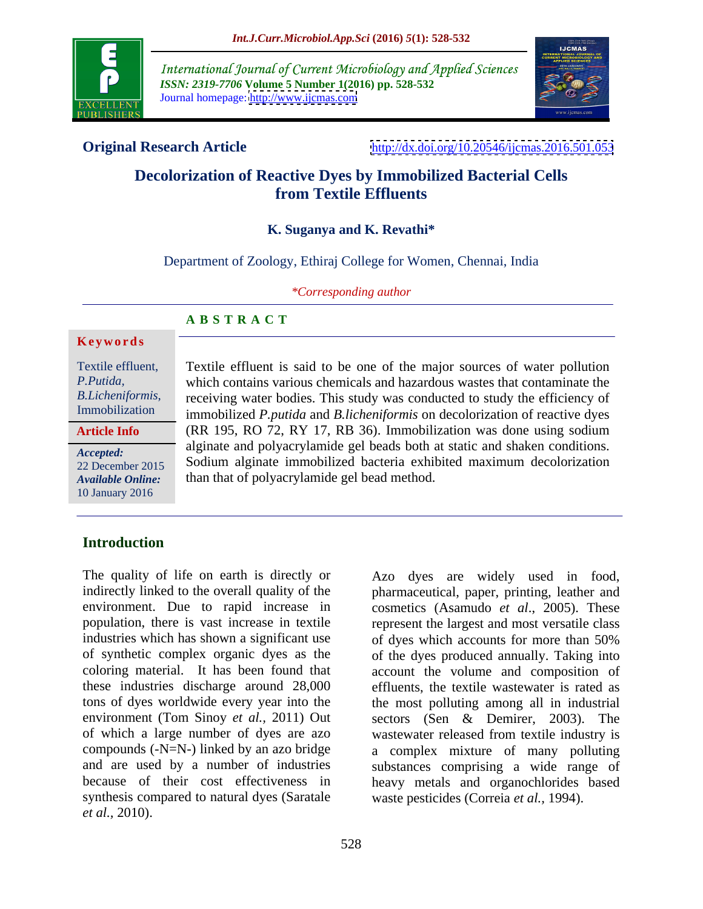

International Journal of Current Microbiology and Applied Sciences *ISSN: 2319-7706* **Volume 5 Number 1(2016) pp. 528-532** Journal homepage: <http://www.ijcmas.com>



**Original Research Article** <http://dx.doi.org/10.20546/ijcmas.2016.501.053>

## **Decolorization of Reactive Dyes by Immobilized Bacterial Cells from Textile Effluents**

#### **K. Suganya and K. Revathi\***

Department of Zoology, Ethiraj College for Women, Chennai, India

*\*Corresponding author* 

### **A B S T R A C T**

#### **Ke ywo rds**

**Article Info**

10 January 2016

Textile effluent, Textile effluent is said to be one of the major sources of water pollution which contains various chemicals and hazardous wastes that contaminate the *P.Putida, B.Licheniformis*, receiving water bodies. This study was conducted to study the efficiency of Immobilization immobilized *P putida and R licheniformis* on decolorization of reactive dyes immobilized *P.putida* and *B.licheniformis* on decolorization of reactive dyes (RR 195, RO 72, RY 17, RB 36). Immobilization was done using sodium alginate and polyacrylamide gel beads both at static and shaken conditions. Accepted:<br>
22 December 2015 **Sodium alginate immobilized bacteria exhibited maximum decolorization** Available Online: than that of polyacrylamide gel bead method. 22 December 2015 Soutum arginate immobilized bacteria exhibited maximum decolorization

### **Introduction**

The quality of life on earth is directly or Azo dyes are widely used in food, indirectly linked to the overall quality of the pharmaceutical, paper, printing, leather and environment. Due to rapid increase in cosmetics (Asamudo *et al*., 2005). These population, there is vast increase in textile represent the largest and most versatile class industries which has shown a significant use of dyes which accounts for more than 50% of synthetic complex organic dyes as the of the dyes produced annually. Taking into coloring material. It has been found that account the volume and composition of these industries discharge around 28,000 effluents, the textile wastewater is rated as tons of dyes worldwide every year into the the most polluting among all in industrial environment (Tom Sinoy *et al.,* 2011) Out sectors (Sen & Demirer, 2003). The of which a large number of dyes are azo wastewater released from textile industry is compounds (-N=N-) linked by an azo bridge a complex mixture of many polluting and are used by a number of industries substances comprising a wide range of because of their cost effectiveness in heavy metals and organochlorides based synthesis compared to natural dyes (Saratale *et al.,* 2010).

of dyes which accounts for more than 50% waste pesticides (Correia *et al.,* 1994).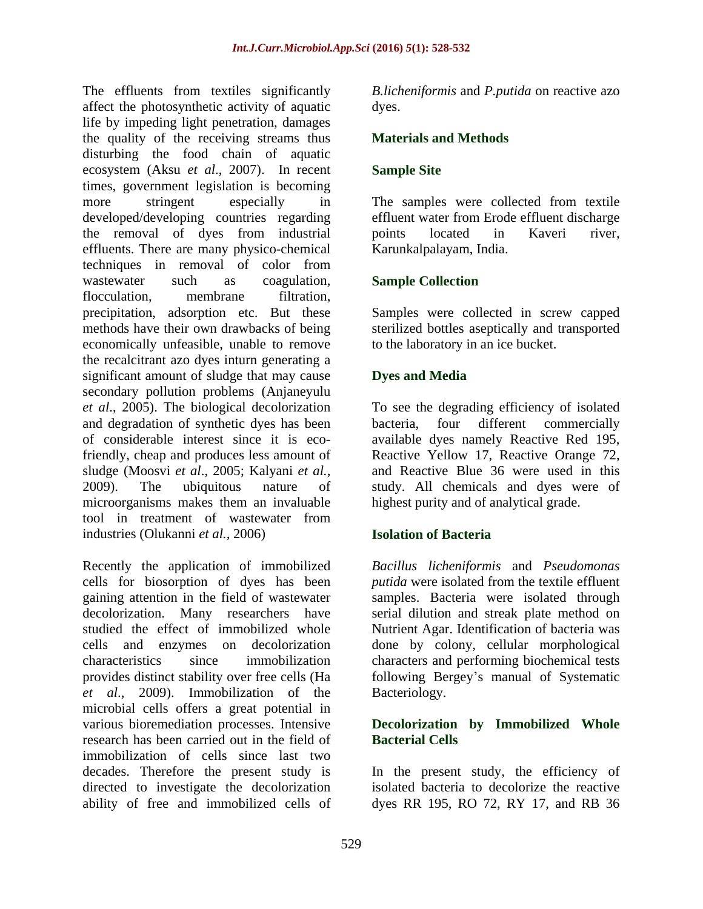The effluents from textiles significantly *B.licheniformis* and *P.putida* on reactive azo affect the photosynthetic activity of aquatic life by impeding light penetration, damages the quality of the receiving streams thus disturbing the food chain of aquatic ecosystem (Aksu *et al*., 2007). In recent times, government legislation is becoming more stringent especially in The samples were collected from textile developed/developing countries regarding the removal of dyes from industrial effluents. There are many physico-chemical techniques in removal of color from wastewater such as coagulation, **Sample Collection** flocculation, membrane filtration, precipitation, adsorption etc. But these Samples were collected in screw capped methods have their own drawbacks of being sterilized bottles aseptically and transported economically unfeasible, unable to remove the recalcitrant azo dyes inturn generating a significant amount of sludge that may cause **Dyes and Media** secondary pollution problems (Anjaneyulu *et al*., 2005). The biological decolorization To see the degrading efficiency of isolated and degradation of synthetic dyes has been bacteria, four different commercially of considerable interest since it is eco-available dyes namely Reactive Red 195, friendly, cheap and produces less amount of Reactive Yellow 17, Reactive Orange 72, sludge (Moosvi *et al*., 2005; Kalyani *et al.,* 2009). The ubiquitous nature of study. All chemicals and dyes were of microorganisms makes them an invaluable tool in treatment of wastewater from industries (Olukanni *et al.,* 2006)

Recently the application of immobilized<br>cells for biosorption of dyes has been cells for biosorption of dyes has been *putida* were isolated from the textile effluent gaining attention in the field of wastewater samples. Bacteria were isolated through decolorization. Many researchers have serial dilution and streak plate method on studied the effect of immobilized whole Nutrient Agar. Identification of bacteria was cells and enzymes on decolorization done by colony, cellular morphological characteristics since immobilization characters and performing biochemical tests provides distinct stability over free cells (Ha following Bergey's manual of Systematic *et al*., 2009). Immobilization of the microbial cells offers a great potential in various bioremediation processes. Intensive **Decolorization by Immobilized Whole** research has been carried out in the field of immobilization of cells since last two decades. Therefore the present study is In the present study, the efficiency of directed to investigate the decolorization isolated bacteria to decolorize the reactive ability of free and immobilized cells of dyes RR 195, RO 72, RY 17, and RB 36

dyes.

#### **Materials and Methods**

#### **Sample Site**

effluent water from Erode effluent discharge points located in Kaveri river, Karunkalpalayam, India.

#### **Sample Collection**

to the laboratory in an ice bucket.

#### **Dyes and Media**

bacteria, four different commercially and Reactive Blue 36 were used in this highest purity and of analytical grade.

#### **Isolation of Bacteria**

*Bacillus licheniformis* and *Pseudomonas*  Bacteriology.

# **Bacterial Cells**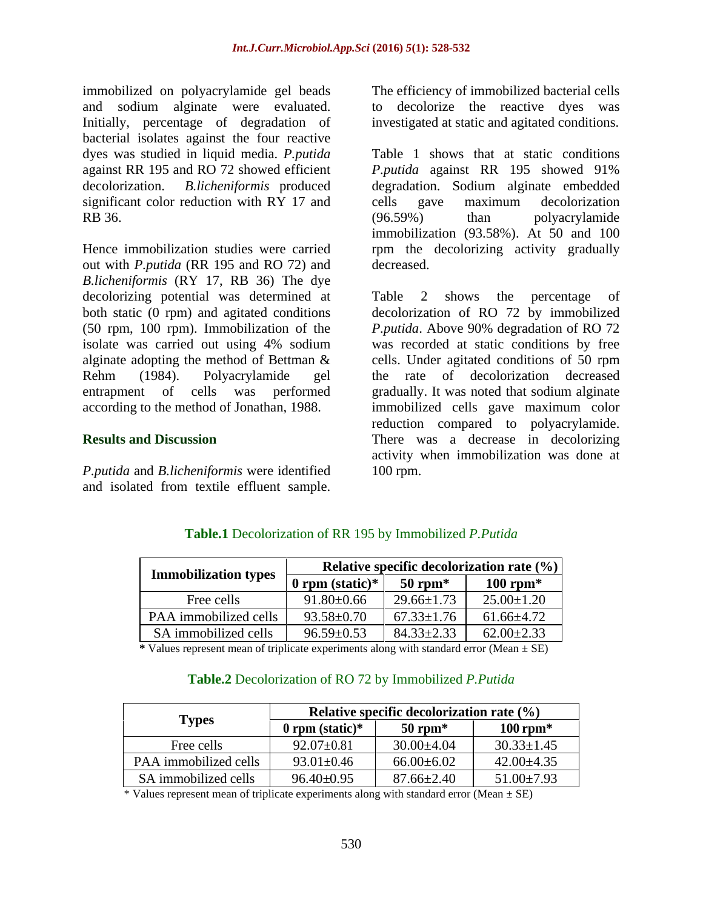immobilized on polyacrylamide gel beads and sodium alginate were evaluated. Initially, percentage of degradation of bacterial isolates against the four reactive dyes was studied in liquid media. *P.putida* significant color reduction with RY 17 and cells gave maximum decolorization RB 36. (96.59%) than polyacrylamide

out with *P.putida* (RR 195 and RO 72) and decreased. *B.licheniformis* (RY 17, RB 36) The dye decolorizing potential was determined at Table 2 shows the percentage of both static (0 rpm) and agitated conditions

*P.putida* and *B.licheniformis* were identified

to decolorize the reactive dyes was investigated at static and agitated conditions.

against RR 195 and RO 72 showed efficient *P.putida* against RR 195 showed 91% decolorization. *B.licheniformis* produced degradation. Sodium alginate embedded Hence immobilization studies were carried rpm the decolorizing activity gradually Table 1 shows that at static conditions cells gave maximum decolorization (96.59%) than polyacrylamide immobilization (93.58%). At 50 and 100 decreased.

(50 rpm, 100 rpm). Immobilization of the *P.putida*. Above 90% degradation of RO 72 isolate was carried out using 4% sodium alginate adopting the method of Bettman & cells. Under agitated conditions of 50 rpm Rehm (1984). Polyacrylamide gel the rate of decolorization decreased entrapment of cells was performed gradually. It was noted that sodium alginate according to the method of Jonathan, 1988. immobilized cells gave maximum color **Results and Discussion** There was a decrease in decolorizing immobilized on polyacrylamide gel beads<br>
interaktion polyacry of immobilized bacterial clusters are exampled to decolorize the reactive dyes was<br>
Initially, percentage of degradation of investigated at static and agitated Table 2 shows the percentage of decolorization of RO 72 by immobilized was recorded at static conditions by free reduction compared to polyacrylamide. activity when immobilization was done at 100 rpm.

|                                                                                                                                                                                                                                                                                                                                       |                  | <b>Relative specific decolorization rate <math>(\%)</math></b> |                                   |  |
|---------------------------------------------------------------------------------------------------------------------------------------------------------------------------------------------------------------------------------------------------------------------------------------------------------------------------------------|------------------|----------------------------------------------------------------|-----------------------------------|--|
| <b>Example 12</b> Townships $\frac{1}{\sqrt{2\pi}}$ or $\frac{1}{\sqrt{2\pi}}$ or $\frac{1}{\sqrt{2\pi}}$ and $\frac{1}{\sqrt{2\pi}}$ or $\frac{1}{\sqrt{2\pi}}$ or $\frac{1}{\sqrt{2\pi}}$ or $\frac{1}{\sqrt{2\pi}}$ or $\frac{1}{\sqrt{2\pi}}$ or $\frac{1}{\sqrt{2\pi}}$ or $\frac{1}{\sqrt{2\pi}}$ or $\frac{1}{\sqrt{2\pi}}$ or |                  |                                                                | $100$ rpm*                        |  |
| Free cells                                                                                                                                                                                                                                                                                                                            | $91.80 \pm 0.66$ |                                                                | $29.66 \pm 1.73$ 25.00 $\pm 1.20$ |  |
| PAA immobilized cells   $93.58 \pm 0.70$   $67.33 \pm 1.76$   $61.66 \pm 4.72$                                                                                                                                                                                                                                                        |                  |                                                                |                                   |  |
| SA immobilized cells $\begin{array}{ l } 96.59 \pm 0.53 & 84.33 \pm 2.33 & 62.00 \pm 2.33 \end{array}$                                                                                                                                                                                                                                |                  |                                                                |                                   |  |

### **Table.1** Decolorization of RR 195 by Immobilized *P.Putida*

**\*** Values represent mean of triplicate experiments along with standard error (Mean ± SE)

#### **Table.2** Decolorization of RO 72 by Immobilized *P.Putida*

|                       | Relative specific decolorization rate $(\%)$ |                               |                  |
|-----------------------|----------------------------------------------|-------------------------------|------------------|
| <b>Types</b>          | $0$ rpm (static)*                            | $50$ rpm $*$                  | $100$ rpm*       |
| Free cells            | $92.07 \pm 0.81$                             | $30.00 \pm 4.04$              | $30.33 \pm 1.45$ |
| PAA immobilized cells | $93.01 \pm 0.46$                             | $66.00 \pm 6.02$              | $42.00 \pm 4.35$ |
| SA immobilized cells  | $96.40 \pm 0.95$                             | $87.66 \pm 2.4$<br>$\sqrt{4}$ | $51.00 \pm 7.93$ |

\* Values represent mean of triplicate experiments along with standard error (Mean  $\pm$  SE)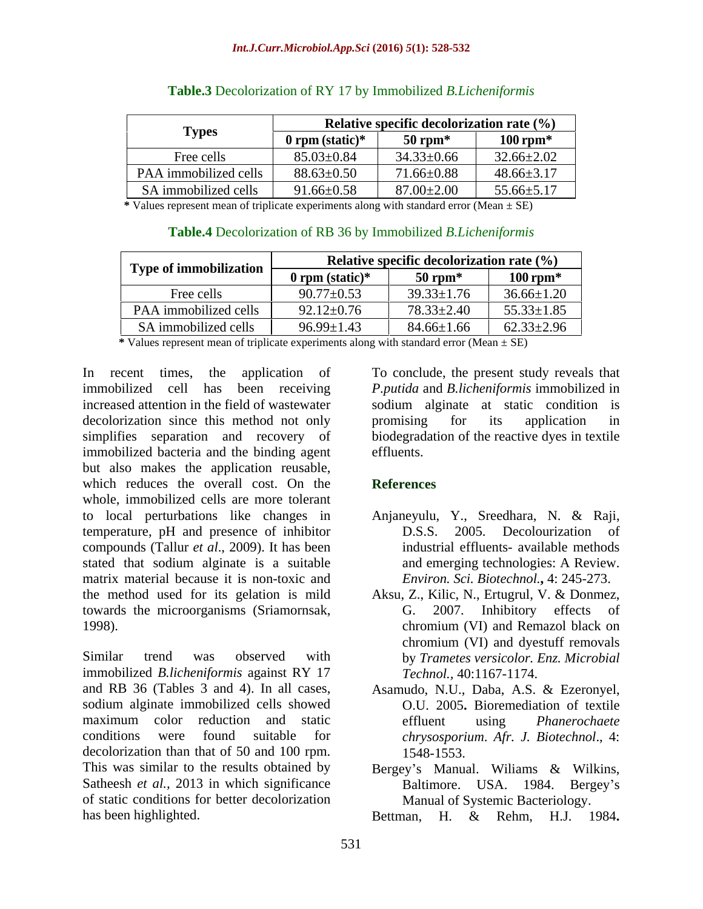| $\sim$                       | Relative specific decolorization rate $(\%)$ |                  |                  |
|------------------------------|----------------------------------------------|------------------|------------------|
| <b>Types</b>                 | 0 rpm (static) $*$                           | $50$ rpm         | $100$ rpm*       |
| Free cells                   | $85.03 \pm 0.84$                             | $34.33 \pm 0.66$ | $32.66 \pm 2.02$ |
| <b>PAA</b> immobilized cells | $88.63 \pm 0.50$                             | $71.66 \pm 0.88$ | $48.66 \pm 3.17$ |
| SA immobilized cells         | $91.66 \pm 0.58$                             | $87.00 \pm 2.00$ | $55.66 \pm 5.17$ |

#### **Table.3** Decolorization of RY 17 by Immobilized *B.Licheniformis*

**\*** Values represent mean of triplicate experiments along with standard error (Mean ± SE)

#### **Table.4** Decolorization of RB 36 by Immobilized *B.Licheniformis*

|                        | Relative specific decolorization rate $(\% )$ |                  |                  |  |
|------------------------|-----------------------------------------------|------------------|------------------|--|
| Type of immobilization | 0 rpm (static)*                               | $50$ rpm $*$     | $100$ rpm*       |  |
| Free cells             | $90.77 \pm 0.53$                              | $39.33 \pm 1.76$ | $36.66 \pm 1.20$ |  |
| PAA immobilized cells  | $2 + 0.76$<br>00.10                           | 78.33±2.40       | $55.33 \pm 1.85$ |  |
| SA immobilized cells   | $96.99 \pm 1.43$                              | $84.66 \pm 1.66$ | $62.33 \pm 2.96$ |  |

**\*** Values represent mean of triplicate experiments along with standard error (Mean ± SE)

decolorization since this method not only becomising for its application in immobilized bacteria and the binding agent effluents. but also makes the application reusable, which reduces the overall cost. On the **References** whole, immobilized cells are more tolerant to local perturbations like changes in Anjaneyulu, Y., Sreedhara, N. & Raji, temperature, pH and presence of inhibitor compounds (Tallur *et al*., 2009). It has been stated that sodium alginate is a suitable and emerging technologies: A Review. matrix material because it is non-toxic and the method used for its gelation is mild Aksu, Z., Kilic, N., Ertugrul, V. & Donmez, towards the microorganisms (Sriamornsak, 1998). Chromium (VI) and Remazol black on

Similar trend was observed with by *Trametes versicolor. Enz. Microbial*  immobilized *B.licheniformis* against RY 17 and RB 36 (Tables 3 and 4). In all cases, Asamudo, N.U., Daba, A.S. & Ezeronyel, sodium alginate immobilized cells showed maximum color reduction and static effluent using *Phanerochaete* conditions were found suitable for *chrysosporium*. *Afr. J. Biotechnol*., 4: decolorization than that of 50 and 100 rpm. 1548-1553. This was similar to the results obtained by Bergey's Manual. Williams & Wilkins, Satheesh *et al.*, 2013 in which significance Baltimore. USA. 1984. Bergey's of static conditions for better decolorization has been highlighted. Bettman, H. & Rehm, H.J. 1984.

In recent times, the application of To conclude, the present study reveals that immobilized cell has been receiving *P.putida* and *B.licheniformis* immobilized in increased attention in the field of wastewater sodium alginate at static condition is simplifies separation and recovery of biodegradation of the reactive dyes in textile promising for its application in effluents.

#### **References**

- D.S.S. 2005. Decolourization of industrial effluents- available methods and emerging technologies: A Review. *Environ. Sci. Biotechnol.***,** 4: 245-273.
- G. 2007. Inhibitory effects of chromium (VI) and Remazol black on chromium (VI) and dyestuff removals *Technol.,* 40:1167-1174.
- O.U. 2005**.** Bioremediation of textile effluent using *Phanerochaete*  1548-1553.
- Bergey's Manual. Wiliams & Wilkins,<br>Baltimore. USA. 1984. Bergey's Manual of Systemic Bacteriology.

Bettman, H. & Rehm, H.J. 1984**.**